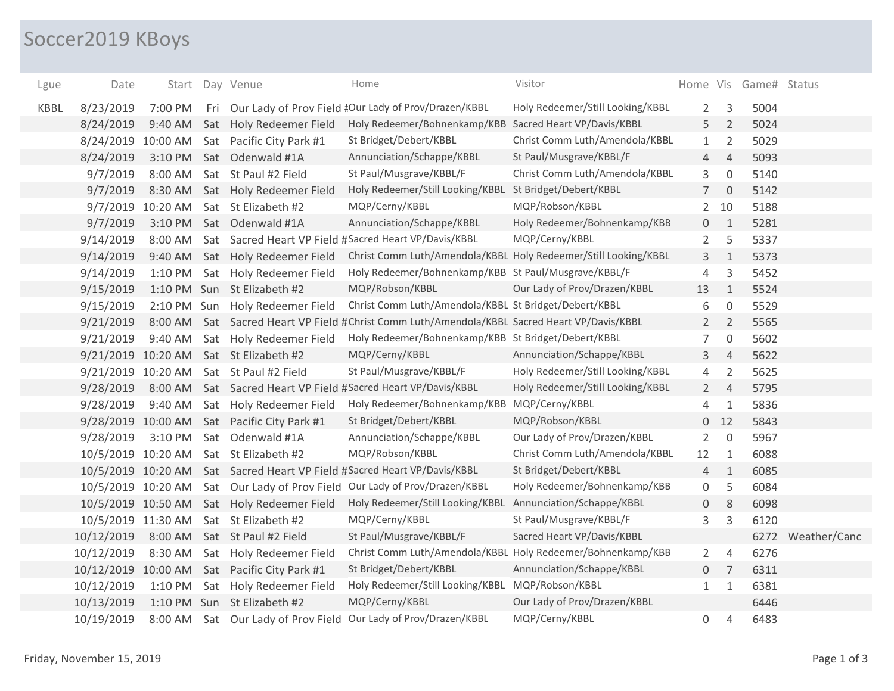## Soccer2019 KBoys

| Lgue        | Date                |                   | Start Day Venue                             | Home                                                                                 | Visitor                          |                 |                | Home Vis Game# Status |                   |
|-------------|---------------------|-------------------|---------------------------------------------|--------------------------------------------------------------------------------------|----------------------------------|-----------------|----------------|-----------------------|-------------------|
| <b>KBBL</b> | 8/23/2019           | 7:00 PM           |                                             | Fri Our Lady of Prov Field #Our Lady of Prov/Drazen/KBBL                             | Holy Redeemer/Still Looking/KBBL | $\overline{2}$  | 3              | 5004                  |                   |
|             | 8/24/2019           | 9:40 AM           | Sat Holy Redeemer Field                     | Holy Redeemer/Bohnenkamp/KBB Sacred Heart VP/Davis/KBBL                              |                                  | 5               | $\overline{2}$ | 5024                  |                   |
|             | 8/24/2019 10:00 AM  |                   | Sat Pacific City Park #1                    | St Bridget/Debert/KBBL                                                               | Christ Comm Luth/Amendola/KBBL   | $\mathbf{1}$    | $\overline{2}$ | 5029                  |                   |
|             | 8/24/2019           | 3:10 PM           | Sat Odenwald #1A                            | Annunciation/Schappe/KBBL                                                            | St Paul/Musgrave/KBBL/F          | 4               | $\overline{4}$ | 5093                  |                   |
|             | 9/7/2019            | 8:00 AM           | Sat St Paul #2 Field                        | St Paul/Musgrave/KBBL/F                                                              | Christ Comm Luth/Amendola/KBBL   | 3               | $\mathbf 0$    | 5140                  |                   |
|             | 9/7/2019            | 8:30 AM           | Sat Holy Redeemer Field                     | Holy Redeemer/Still Looking/KBBL St Bridget/Debert/KBBL                              |                                  | $7\overline{ }$ | $\overline{0}$ | 5142                  |                   |
|             |                     | 9/7/2019 10:20 AM | Sat St Elizabeth #2                         | MQP/Cerny/KBBL                                                                       | MQP/Robson/KBBL                  | $2^{\circ}$     | 10             | 5188                  |                   |
|             | 9/7/2019            | 3:10 PM           | Sat Odenwald #1A                            | Annunciation/Schappe/KBBL                                                            | Holy Redeemer/Bohnenkamp/KBB     | 0               | 1              | 5281                  |                   |
|             | 9/14/2019           | 8:00 AM           |                                             | Sat Sacred Heart VP Field #Sacred Heart VP/Davis/KBBL                                | MQP/Cerny/KBBL                   | $\overline{2}$  | 5              | 5337                  |                   |
|             | 9/14/2019           | 9:40 AM           | Sat Holy Redeemer Field                     | Christ Comm Luth/Amendola/KBBL Holy Redeemer/Still Looking/KBBL                      |                                  | 3               | $\mathbf{1}$   | 5373                  |                   |
|             | 9/14/2019           | 1:10 PM           | Sat Holy Redeemer Field                     | Holy Redeemer/Bohnenkamp/KBB St Paul/Musgrave/KBBL/F                                 |                                  | $\overline{4}$  | 3              | 5452                  |                   |
|             | 9/15/2019           |                   | 1:10 PM Sun St Elizabeth #2                 | MQP/Robson/KBBL                                                                      | Our Lady of Prov/Drazen/KBBL     | 13              | $\mathbf{1}$   | 5524                  |                   |
|             | 9/15/2019           |                   | 2:10 PM Sun Holy Redeemer Field             | Christ Comm Luth/Amendola/KBBL St Bridget/Debert/KBBL                                |                                  | 6               | $\mathbf 0$    | 5529                  |                   |
|             | 9/21/2019           | 8:00 AM           |                                             | Sat Sacred Heart VP Field #Christ Comm Luth/Amendola/KBBL Sacred Heart VP/Davis/KBBL |                                  | $2^{\circ}$     | $\overline{2}$ | 5565                  |                   |
|             | 9/21/2019           | 9:40 AM           | Sat Holy Redeemer Field                     | Holy Redeemer/Bohnenkamp/KBB St Bridget/Debert/KBBL                                  |                                  | $\overline{7}$  | $\mathbf 0$    | 5602                  |                   |
|             | 9/21/2019 10:20 AM  |                   | Sat St Elizabeth #2                         | MQP/Cerny/KBBL                                                                       | Annunciation/Schappe/KBBL        | 3               | $\overline{4}$ | 5622                  |                   |
|             | 9/21/2019 10:20 AM  |                   | Sat St Paul #2 Field                        | St Paul/Musgrave/KBBL/F                                                              | Holy Redeemer/Still Looking/KBBL | 4               | $\overline{2}$ | 5625                  |                   |
|             | 9/28/2019           | 8:00 AM           |                                             | Sat Sacred Heart VP Field #Sacred Heart VP/Davis/KBBL                                | Holy Redeemer/Still Looking/KBBL | $2^{\circ}$     | $\overline{4}$ | 5795                  |                   |
|             | 9/28/2019           | 9:40 AM           | Sat Holy Redeemer Field                     | Holy Redeemer/Bohnenkamp/KBB MQP/Cerny/KBBL                                          |                                  | 4               | $\mathbf{1}$   | 5836                  |                   |
|             |                     |                   | 9/28/2019 10:00 AM Sat Pacific City Park #1 | St Bridget/Debert/KBBL                                                               | MQP/Robson/KBBL                  | $\mathbf 0$     | 12             | 5843                  |                   |
|             | 9/28/2019           | 3:10 PM           | Sat Odenwald #1A                            | Annunciation/Schappe/KBBL                                                            | Our Lady of Prov/Drazen/KBBL     | $\overline{2}$  | $\mathbf 0$    | 5967                  |                   |
|             | 10/5/2019 10:20 AM  |                   | Sat St Elizabeth #2                         | MQP/Robson/KBBL                                                                      | Christ Comm Luth/Amendola/KBBL   | 12              | 1              | 6088                  |                   |
|             | 10/5/2019 10:20 AM  |                   |                                             | Sat Sacred Heart VP Field #Sacred Heart VP/Davis/KBBL                                | St Bridget/Debert/KBBL           | 4               | $\mathbf{1}$   | 6085                  |                   |
|             | 10/5/2019 10:20 AM  |                   |                                             | Sat Our Lady of Prov Field Our Lady of Prov/Drazen/KBBL                              | Holy Redeemer/Bohnenkamp/KBB     | 0               | 5              | 6084                  |                   |
|             |                     |                   | 10/5/2019 10:50 AM Sat Holy Redeemer Field  | Holy Redeemer/Still Looking/KBBL                                                     | Annunciation/Schappe/KBBL        | 0               | 8              | 6098                  |                   |
|             | 10/5/2019 11:30 AM  |                   | Sat St Elizabeth #2                         | MQP/Cerny/KBBL                                                                       | St Paul/Musgrave/KBBL/F          | 3               | $\mathsf 3$    | 6120                  |                   |
|             | 10/12/2019          | 8:00 AM           | Sat St Paul #2 Field                        | St Paul/Musgrave/KBBL/F                                                              | Sacred Heart VP/Davis/KBBL       |                 |                |                       | 6272 Weather/Canc |
|             | 10/12/2019          | 8:30 AM           | Sat Holy Redeemer Field                     | Christ Comm Luth/Amendola/KBBL Holy Redeemer/Bohnenkamp/KBB                          |                                  | $2^{\circ}$     | $\overline{4}$ | 6276                  |                   |
|             | 10/12/2019 10:00 AM |                   | Sat Pacific City Park #1                    | St Bridget/Debert/KBBL                                                               | Annunciation/Schappe/KBBL        | 0               | $\overline{7}$ | 6311                  |                   |
|             | 10/12/2019          | 1:10 PM           | Sat Holy Redeemer Field                     | Holy Redeemer/Still Looking/KBBL MQP/Robson/KBBL                                     |                                  | $\mathbf{1}$    | $\mathbf{1}$   | 6381                  |                   |
|             | 10/13/2019          |                   | 1:10 PM Sun St Elizabeth #2                 | MQP/Cerny/KBBL                                                                       | Our Lady of Prov/Drazen/KBBL     |                 |                | 6446                  |                   |
|             | 10/19/2019          |                   |                                             | 8:00 AM Sat Our Lady of Prov Field Our Lady of Prov/Drazen/KBBL                      | MQP/Cerny/KBBL                   | 0               | 4              | 6483                  |                   |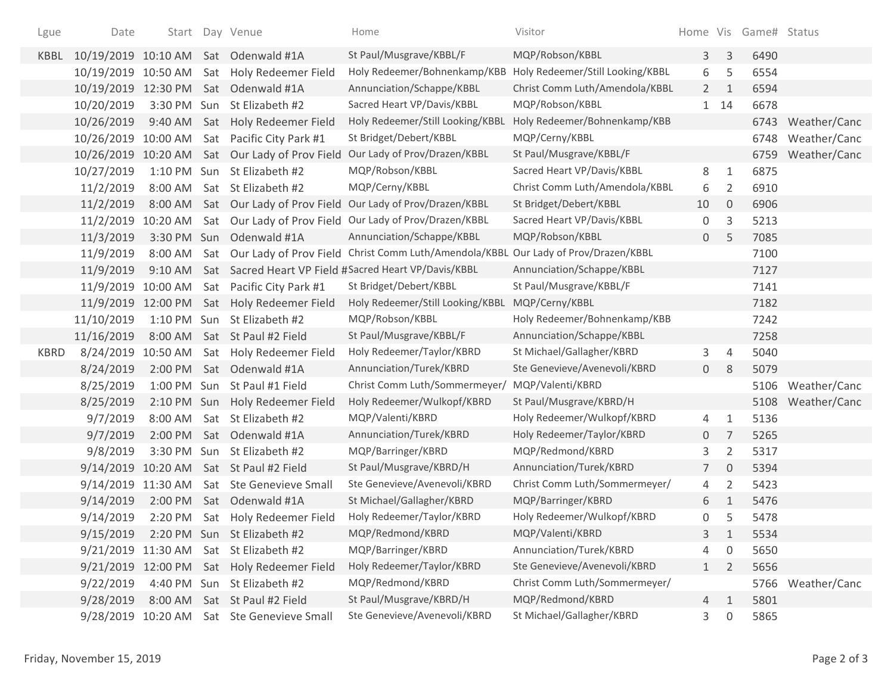| Lgue        | Date                |             |     | Start Day Venue                            | Home                                                                                   | Visitor                          |                |                | Home Vis Game# Status |                   |
|-------------|---------------------|-------------|-----|--------------------------------------------|----------------------------------------------------------------------------------------|----------------------------------|----------------|----------------|-----------------------|-------------------|
| KBBL        |                     |             |     | 10/19/2019 10:10 AM Sat Odenwald #1A       | St Paul/Musgrave/KBBL/F                                                                | MQP/Robson/KBBL                  | 3 <sup>1</sup> | $\mathsf{3}$   | 6490                  |                   |
|             | 10/19/2019 10:50 AM |             |     | Sat Holy Redeemer Field                    | Holy Redeemer/Bohnenkamp/KBB                                                           | Holy Redeemer/Still Looking/KBBL | 6              | 5              | 6554                  |                   |
|             | 10/19/2019          | 12:30 PM    |     | Sat Odenwald #1A                           | Annunciation/Schappe/KBBL                                                              | Christ Comm Luth/Amendola/KBBL   | $2^{\circ}$    | 1              | 6594                  |                   |
|             | 10/20/2019          | 3:30 PM Sun |     | St Elizabeth #2                            | Sacred Heart VP/Davis/KBBL                                                             | MQP/Robson/KBBL                  |                | 1 14           | 6678                  |                   |
|             | 10/26/2019          | 9:40 AM     |     | Sat Holy Redeemer Field                    | Holy Redeemer/Still Looking/KBBL                                                       | Holy Redeemer/Bohnenkamp/KBB     |                |                | 6743                  | Weather/Canc      |
|             | 10/26/2019 10:00 AM |             |     | Sat Pacific City Park #1                   | St Bridget/Debert/KBBL                                                                 | MQP/Cerny/KBBL                   |                |                | 6748                  | Weather/Canc      |
|             | 10/26/2019 10:20 AM |             |     | Sat Our Lady of Prov Field                 | Our Lady of Prov/Drazen/KBBL                                                           | St Paul/Musgrave/KBBL/F          |                |                | 6759                  | Weather/Canc      |
|             | 10/27/2019          |             |     | 1:10 PM Sun St Elizabeth #2                | MQP/Robson/KBBL                                                                        | Sacred Heart VP/Davis/KBBL       | 8              | 1              | 6875                  |                   |
|             | 11/2/2019           | 8:00 AM     |     | Sat St Elizabeth #2                        | MQP/Cerny/KBBL                                                                         | Christ Comm Luth/Amendola/KBBL   | 6              | $\overline{2}$ | 6910                  |                   |
|             | 11/2/2019           | 8:00 AM     |     |                                            | Sat Our Lady of Prov Field Our Lady of Prov/Drazen/KBBL                                | St Bridget/Debert/KBBL           | 10             | $\mathbf 0$    | 6906                  |                   |
|             | 11/2/2019           | 10:20 AM    |     |                                            | Sat Our Lady of Prov Field Our Lady of Prov/Drazen/KBBL                                | Sacred Heart VP/Davis/KBBL       | 0              | 3              | 5213                  |                   |
|             | 11/3/2019           |             |     | 3:30 PM Sun Odenwald #1A                   | Annunciation/Schappe/KBBL                                                              | MQP/Robson/KBBL                  | $\mathbf 0$    | 5              | 7085                  |                   |
|             | 11/9/2019           | 8:00 AM     |     |                                            | Sat Our Lady of Prov Field Christ Comm Luth/Amendola/KBBL Our Lady of Prov/Drazen/KBBL |                                  |                |                | 7100                  |                   |
|             | 11/9/2019           | $9:10$ AM   |     |                                            | Sat Sacred Heart VP Field #Sacred Heart VP/Davis/KBBL                                  | Annunciation/Schappe/KBBL        |                |                | 7127                  |                   |
|             | 11/9/2019 10:00 AM  |             |     | Sat Pacific City Park #1                   | St Bridget/Debert/KBBL                                                                 | St Paul/Musgrave/KBBL/F          |                |                | 7141                  |                   |
|             | 11/9/2019           | 12:00 PM    |     | Sat Holy Redeemer Field                    | Holy Redeemer/Still Looking/KBBL                                                       | MQP/Cerny/KBBL                   |                |                | 7182                  |                   |
|             | 11/10/2019          |             |     | 1:10 PM Sun St Elizabeth #2                | MQP/Robson/KBBL                                                                        | Holy Redeemer/Bohnenkamp/KBB     |                |                | 7242                  |                   |
|             | 11/16/2019          | 8:00 AM     |     | Sat St Paul #2 Field                       | St Paul/Musgrave/KBBL/F                                                                | Annunciation/Schappe/KBBL        |                |                | 7258                  |                   |
| <b>KBRD</b> | 8/24/2019           | 10:50 AM    |     | Sat Holy Redeemer Field                    | Holy Redeemer/Taylor/KBRD                                                              | St Michael/Gallagher/KBRD        | 3              | $\overline{4}$ | 5040                  |                   |
|             | 8/24/2019           | 2:00 PM     |     | Sat Odenwald #1A                           | Annunciation/Turek/KBRD                                                                | Ste Genevieve/Avenevoli/KBRD     | $\mathbf{0}$   | -8             | 5079                  |                   |
|             | 8/25/2019           | 1:00 PM     | Sun | St Paul #1 Field                           | Christ Comm Luth/Sommermeyer/                                                          | MQP/Valenti/KBRD                 |                |                | 5106                  | Weather/Canc      |
|             | 8/25/2019           | 2:10 PM     |     | Sun Holy Redeemer Field                    | Holy Redeemer/Wulkopf/KBRD                                                             | St Paul/Musgrave/KBRD/H          |                |                | 5108                  | Weather/Canc      |
|             | 9/7/2019            | 8:00 AM     | Sat | St Elizabeth #2                            | MQP/Valenti/KBRD                                                                       | Holy Redeemer/Wulkopf/KBRD       | 4              | 1              | 5136                  |                   |
|             | 9/7/2019            | 2:00 PM     |     | Sat Odenwald #1A                           | Annunciation/Turek/KBRD                                                                | Holy Redeemer/Taylor/KBRD        | $\overline{0}$ | 7              | 5265                  |                   |
|             | 9/8/2019            | 3:30 PM     | Sun | St Elizabeth #2                            | MQP/Barringer/KBRD                                                                     | MQP/Redmond/KBRD                 | 3              | $\overline{2}$ | 5317                  |                   |
|             | 9/14/2019 10:20 AM  |             |     | Sat St Paul #2 Field                       | St Paul/Musgrave/KBRD/H                                                                | Annunciation/Turek/KBRD          | 7              | $\mathbf 0$    | 5394                  |                   |
|             | 9/14/2019           | 11:30 AM    |     | Sat Ste Genevieve Small                    | Ste Genevieve/Avenevoli/KBRD                                                           | Christ Comm Luth/Sommermeyer/    | 4              | $\overline{2}$ | 5423                  |                   |
|             | 9/14/2019           | 2:00 PM     |     | Sat Odenwald #1A                           | St Michael/Gallagher/KBRD                                                              | MQP/Barringer/KBRD               | 6              | $\mathbf{1}$   | 5476                  |                   |
|             | 9/14/2019           | 2:20 PM     |     | Sat Holy Redeemer Field                    | Holy Redeemer/Taylor/KBRD                                                              | Holy Redeemer/Wulkopf/KBRD       | 0              | 5              | 5478                  |                   |
|             | 9/15/2019           |             |     | 2:20 PM Sun St Elizabeth #2                | MQP/Redmond/KBRD                                                                       | MQP/Valenti/KBRD                 | 3              | 1              | 5534                  |                   |
|             |                     |             |     | 9/21/2019 11:30 AM Sat St Elizabeth #2     | MQP/Barringer/KBRD                                                                     | Annunciation/Turek/KBRD          | 4              | 0              | 5650                  |                   |
|             |                     |             |     | 9/21/2019 12:00 PM Sat Holy Redeemer Field | Holy Redeemer/Taylor/KBRD                                                              | Ste Genevieve/Avenevoli/KBRD     | 1              | 2              | 5656                  |                   |
|             | 9/22/2019           |             |     | 4:40 PM Sun St Elizabeth #2                | MQP/Redmond/KBRD                                                                       | Christ Comm Luth/Sommermeyer/    |                |                |                       | 5766 Weather/Canc |
|             | 9/28/2019           |             |     | 8:00 AM Sat St Paul #2 Field               | St Paul/Musgrave/KBRD/H                                                                | MQP/Redmond/KBRD                 | 4              | 1              | 5801                  |                   |
|             |                     |             |     | 9/28/2019 10:20 AM Sat Ste Genevieve Small | Ste Genevieve/Avenevoli/KBRD                                                           | St Michael/Gallagher/KBRD        | 3              | 0              | 5865                  |                   |